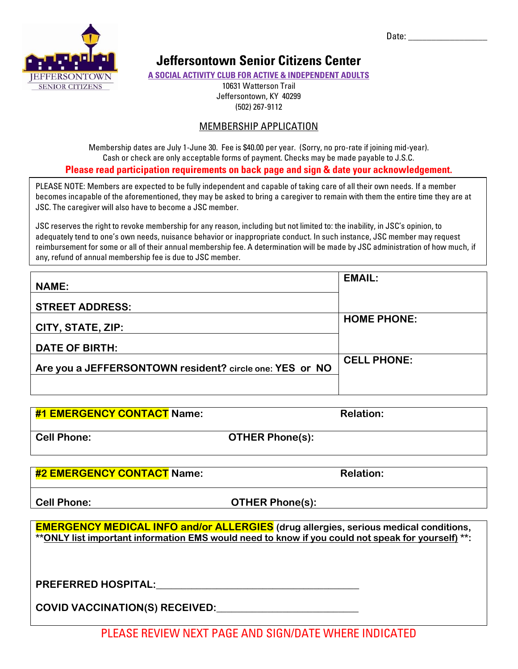Date:  $\overline{\phantom{a}}$ 



# **Jeffersontown Senior Citizens Center**

**A SOCIAL ACTIVITY CLUB FOR ACTIVE & INDEPENDENT ADULTS**

10631 Watterson Trail Jeffersontown, KY 40299 (502) 267-9112

## MEMBERSHIP APPLICATION

Membership dates are July 1-June 30. Fee is \$40.00 per year. (Sorry, no pro-rate if joining mid-year). Cash or check are only acceptable forms of payment. Checks may be made payable to J.S.C. **Please read participation requirements on back page and sign & date your acknowledgement.**

PLEASE NOTE: Members are expected to be fully independent and capable of taking care of all their own needs. If a member becomes incapable of the aforementioned, they may be asked to bring a caregiver to remain with them the entire time they are at JSC. The caregiver will also have to become a JSC member.

JSC reserves the right to revoke membership for any reason, including but not limited to: the inability, in JSC's opinion, to adequately tend to one's own needs, nuisance behavior or inappropriate conduct. In such instance, JSC member may request reimbursement for some or all of their annual membership fee. A determination will be made by JSC administration of how much, if any, refund of annual membership fee is due to JSC member.

| <b>NAME:</b>                                            | <b>EMAIL:</b>      |
|---------------------------------------------------------|--------------------|
| <b>STREET ADDRESS:</b>                                  |                    |
| CITY, STATE, ZIP:                                       | <b>HOME PHONE:</b> |
| <b>DATE OF BIRTH:</b>                                   |                    |
| Are you a JEFFERSONTOWN resident? circle one: YES or NO | <b>CELL PHONE:</b> |
|                                                         |                    |

| <b>#1 EMERGENCY CONTACT Name:</b> |                        | <b>Relation:</b> |
|-----------------------------------|------------------------|------------------|
| <b>Cell Phone:</b>                | <b>OTHER Phone(s):</b> |                  |

**#2 EMERGENCY CONTACT Name: Relation:**

**Cell Phone: OTHER Phone(s):** 

**EMERGENCY MEDICAL INFO and/or ALLERGIES (drug allergies, serious medical conditions, \*\*ONLY list important information EMS would need to know if you could not speak for yourself) \*\*:** 

**PREFERRED HOSPITAL:\_\_\_\_\_\_\_\_\_\_\_\_\_\_\_\_\_\_\_\_\_\_\_\_\_\_\_\_\_\_\_\_\_\_\_\_\_\_\_\_** 

**COVID VACCINATION(S) RECEIVED:\_\_\_\_\_\_\_\_\_\_\_\_\_\_\_\_\_\_\_\_\_\_\_\_\_\_\_\_**

PLEASE REVIEW NEXT PAGE AND SIGN/DATE WHERE INDICATED